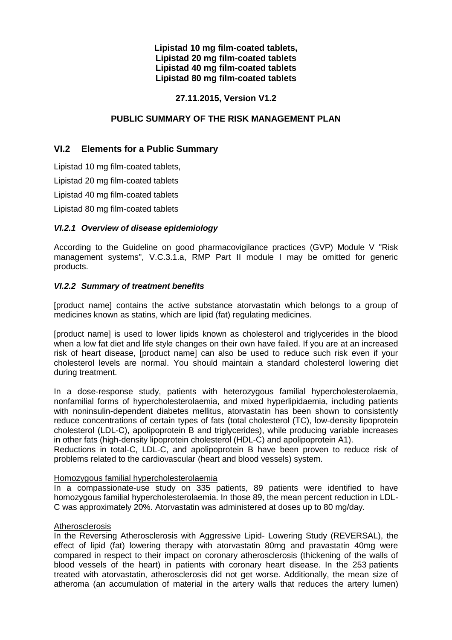#### **Lipistad 10 mg film-coated tablets, Lipistad 20 mg film-coated tablets Lipistad 40 mg film-coated tablets Lipistad 80 mg film-coated tablets**

## **27.11.2015, Version V1.2**

#### **PUBLIC SUMMARY OF THE RISK MANAGEMENT PLAN**

# **VI.2 Elements for a Public Summary**

Lipistad 10 mg film-coated tablets,

Lipistad 20 mg film-coated tablets

Lipistad 40 mg film-coated tablets

Lipistad 80 mg film-coated tablets

#### *VI.2.1 Overview of disease epidemiology*

According to the Guideline on good pharmacovigilance practices (GVP) Module V "Risk management systems", V.C.3.1.a, RMP Part II module I may be omitted for generic products.

#### *VI.2.2 Summary of treatment benefits*

[product name] contains the active substance atorvastatin which belongs to a group of medicines known as statins, which are lipid (fat) regulating medicines.

[product name] is used to lower lipids known as cholesterol and triglycerides in the blood when a low fat diet and life style changes on their own have failed. If you are at an increased risk of heart disease, [product name] can also be used to reduce such risk even if your cholesterol levels are normal. You should maintain a standard cholesterol lowering diet during treatment.

In a dose-response study, patients with heterozygous familial hypercholesterolaemia, nonfamilial forms of hypercholesterolaemia, and mixed hyperlipidaemia, including patients with noninsulin-dependent diabetes mellitus, atorvastatin has been shown to consistently reduce concentrations of certain types of fats (total cholesterol (TC), low-density lipoprotein cholesterol (LDL-C), apolipoprotein B and triglycerides), while producing variable increases in other fats (high-density lipoprotein cholesterol (HDL-C) and apolipoprotein A1).

Reductions in total-C, LDL-C, and apolipoprotein B have been proven to reduce risk of problems related to the cardiovascular (heart and blood vessels) system.

#### Homozygous familial hypercholesterolaemia

In a compassionate-use study on 335 patients, 89 patients were identified to have homozygous familial hypercholesterolaemia. In those 89, the mean percent reduction in LDL-C was approximately 20%. Atorvastatin was administered at doses up to 80 mg/day.

#### **Atherosclerosis**

In the Reversing Atherosclerosis with Aggressive Lipid- Lowering Study (REVERSAL), the effect of lipid (fat) lowering therapy with atorvastatin 80mg and pravastatin 40mg were compared in respect to their impact on coronary atherosclerosis (thickening of the walls of blood vessels of the heart) in patients with coronary heart disease. In the 253 patients treated with atorvastatin, atherosclerosis did not get worse. Additionally, the mean size of atheroma (an accumulation of material in the artery walls that reduces the artery lumen)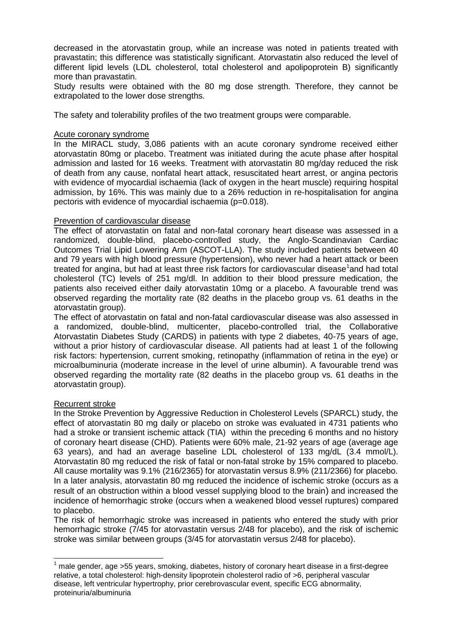decreased in the atorvastatin group, while an increase was noted in patients treated with pravastatin; this difference was statistically significant. Atorvastatin also reduced the level of different lipid levels (LDL cholesterol, total cholesterol and apolipoprotein B) significantly more than pravastatin.

Study results were obtained with the 80 mg dose strength. Therefore, they cannot be extrapolated to the lower dose strengths.

The safety and tolerability profiles of the two treatment groups were comparable.

#### Acute coronary syndrome

In the MIRACL study, 3,086 patients with an acute coronary syndrome received either atorvastatin 80mg or placebo. Treatment was initiated during the acute phase after hospital admission and lasted for 16 weeks. Treatment with atorvastatin 80 mg/day reduced the risk of death from any cause, nonfatal heart attack, resuscitated heart arrest, or angina pectoris with evidence of myocardial ischaemia (lack of oxygen in the heart muscle) requiring hospital admission, by 16%. This was mainly due to a 26% reduction in re-hospitalisation for angina pectoris with evidence of myocardial ischaemia (p=0.018).

#### Prevention of cardiovascular disease

The effect of atorvastatin on fatal and non-fatal coronary heart disease was assessed in a randomized, double-blind, placebo-controlled study, the Anglo-Scandinavian Cardiac Outcomes Trial Lipid Lowering Arm (ASCOT-LLA). The study included patients between 40 and 79 years with high blood pressure (hypertension), who never had a heart attack or been treated for angina, but had at least three risk factors for cardiovascular disease<sup>1</sup>and had total cholesterol (TC) levels of 251 mg/dl. In addition to their blood pressure medication, the patients also received either daily atorvastatin 10mg or a placebo. A favourable trend was observed regarding the mortality rate (82 deaths in the placebo group vs. 61 deaths in the atorvastatin group).

The effect of atorvastatin on fatal and non-fatal cardiovascular disease was also assessed in a randomized, double-blind, multicenter, placebo-controlled trial, the Collaborative Atorvastatin Diabetes Study (CARDS) in patients with type 2 diabetes, 40-75 years of age, without a prior history of cardiovascular disease. All patients had at least 1 of the following risk factors: hypertension, current smoking, retinopathy (inflammation of retina in the eye) or microalbuminuria (moderate increase in the level of urine albumin). A favourable trend was observed regarding the mortality rate (82 deaths in the placebo group vs. 61 deaths in the atorvastatin group).

#### Recurrent stroke

In the Stroke Prevention by Aggressive Reduction in Cholesterol Levels (SPARCL) study, the effect of atorvastatin 80 mg daily or placebo on stroke was evaluated in 4731 patients who had a stroke or transient ischemic attack (TIA) within the preceding 6 months and no history of coronary heart disease (CHD). Patients were 60% male, 21-92 years of age (average age 63 years), and had an average baseline LDL cholesterol of 133 mg/dL (3.4 mmol/L). Atorvastatin 80 mg reduced the risk of fatal or non-fatal stroke by 15% compared to placebo. All cause mortality was 9.1% (216/2365) for atorvastatin versus 8.9% (211/2366) for placebo. In a later analysis, atorvastatin 80 mg reduced the incidence of ischemic stroke (occurs as a result of an obstruction within a blood vessel supplying blood to the brain) and increased the incidence of hemorrhagic stroke (occurs when a weakened blood vessel ruptures) compared to placebo.

The risk of hemorrhagic stroke was increased in patients who entered the study with prior hemorrhagic stroke (7/45 for atorvastatin versus 2/48 for placebo), and the risk of ischemic stroke was similar between groups (3/45 for atorvastatin versus 2/48 for placebo).

 $<sup>1</sup>$  male gender, age >55 years, smoking, diabetes, history of coronary heart disease in a first-degree</sup> relative, a total cholesterol: high-density lipoprotein cholesterol radio of >6, peripheral vascular disease, left ventricular hypertrophy, prior cerebrovascular event, specific ECG abnormality, proteinuria/albuminuria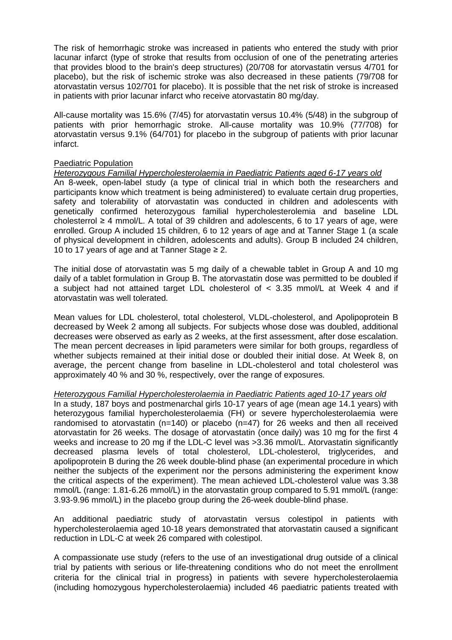The risk of hemorrhagic stroke was increased in patients who entered the study with prior lacunar infarct (type of stroke that results from occlusion of one of the penetrating arteries that provides blood to the brain's deep structures) (20/708 for atorvastatin versus 4/701 for placebo), but the risk of ischemic stroke was also decreased in these patients (79/708 for atorvastatin versus 102/701 for placebo). It is possible that the net risk of stroke is increased in patients with prior lacunar infarct who receive atorvastatin 80 mg/day.

All-cause mortality was 15.6% (7/45) for atorvastatin versus 10.4% (5/48) in the subgroup of patients with prior hemorrhagic stroke. All-cause mortality was 10.9% (77/708) for atorvastatin versus 9.1% (64/701) for placebo in the subgroup of patients with prior lacunar infarct.

#### Paediatric Population

*Heterozygous Familial Hypercholesterolaemia in Paediatric Patients aged 6-17 years old* An 8-week, open-label study (a type of clinical trial in which both the researchers and participants know which treatment is being administered) to evaluate certain drug properties, safety and tolerability of atorvastatin was conducted in children and adolescents with genetically confirmed heterozygous familial hypercholesterolemia and baseline LDL cholesterrol  $\geq 4$  mmol/L. A total of 39 children and adolescents, 6 to 17 years of age, were enrolled. Group A included 15 children, 6 to 12 years of age and at Tanner Stage 1 (a scale of physical development in children, adolescents and adults). Group B included 24 children, 10 to 17 years of age and at Tanner Stage  $\geq 2$ .

The initial dose of atorvastatin was 5 mg daily of a chewable tablet in Group A and 10 mg daily of a tablet formulation in Group B. The atorvastatin dose was permitted to be doubled if a subject had not attained target LDL cholesterol of < 3.35 mmol/L at Week 4 and if atorvastatin was well tolerated.

Mean values for LDL cholesterol, total cholesterol, VLDL-cholesterol, and Apolipoprotein B decreased by Week 2 among all subjects. For subjects whose dose was doubled, additional decreases were observed as early as 2 weeks, at the first assessment, after dose escalation. The mean percent decreases in lipid parameters were similar for both groups, regardless of whether subjects remained at their initial dose or doubled their initial dose. At Week 8, on average, the percent change from baseline in LDL-cholesterol and total cholesterol was approximately 40 % and 30 %, respectively, over the range of exposures.

#### *Heterozygous Familial Hypercholesterolaemia in Paediatric Patients aged 10-17 years old*

In a study, 187 boys and postmenarchal girls 10-17 years of age (mean age 14.1 years) with heterozygous familial hypercholesterolaemia (FH) or severe hypercholesterolaemia were randomised to atorvastatin (n=140) or placebo (n=47) for 26 weeks and then all received atorvastatin for 26 weeks. The dosage of atorvastatin (once daily) was 10 mg for the first 4 weeks and increase to 20 mg if the LDL-C level was >3.36 mmol/L. Atorvastatin significantly decreased plasma levels of total cholesterol, LDL-cholesterol, triglycerides, and apolipoprotein B during the 26 week double-blind phase (an experimental procedure in which neither the subjects of the experiment nor the persons administering the experiment know the critical aspects of the experiment). The mean achieved LDL-cholesterol value was 3.38 mmol/L (range: 1.81-6.26 mmol/L) in the atorvastatin group compared to 5.91 mmol/L (range: 3.93-9.96 mmol/L) in the placebo group during the 26-week double-blind phase.

An additional paediatric study of atorvastatin versus colestipol in patients with hypercholesterolaemia aged 10-18 years demonstrated that atorvastatin caused a significant reduction in LDL-C at week 26 compared with colestipol.

A compassionate use study (refers to the use of an investigational drug outside of a clinical trial by patients with serious or life-threatening conditions who do not meet the enrollment criteria for the clinical trial in progress) in patients with severe hypercholesterolaemia (including homozygous hypercholesterolaemia) included 46 paediatric patients treated with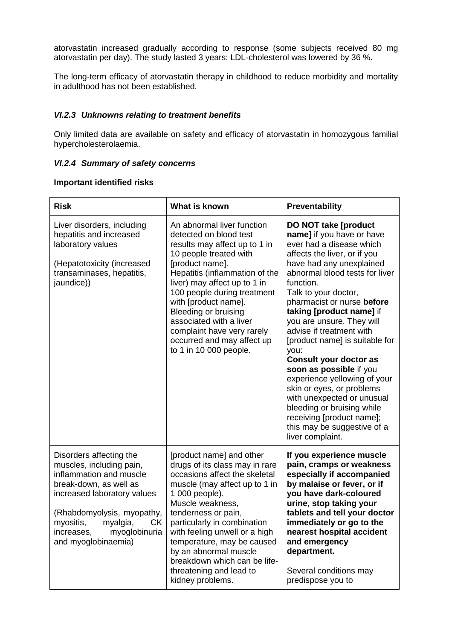atorvastatin increased gradually according to response (some subjects received 80 mg atorvastatin per day). The study lasted 3 years: LDL-cholesterol was lowered by 36 %.

The long-term efficacy of atorvastatin therapy in childhood to reduce morbidity and mortality in adulthood has not been established.

#### *VI.2.3 Unknowns relating to treatment benefits*

Only limited data are available on safety and efficacy of atorvastatin in homozygous familial hypercholesterolaemia.

#### *VI.2.4 Summary of safety concerns*

#### **Important identified risks**

| <b>Risk</b>                                                                                                                                                                                                                                                | What is known                                                                                                                                                                                                                                                                                                                                                                                        | Preventability                                                                                                                                                                                                                                                                                                                                                                                                                                                                                                                                                                                                                                            |
|------------------------------------------------------------------------------------------------------------------------------------------------------------------------------------------------------------------------------------------------------------|------------------------------------------------------------------------------------------------------------------------------------------------------------------------------------------------------------------------------------------------------------------------------------------------------------------------------------------------------------------------------------------------------|-----------------------------------------------------------------------------------------------------------------------------------------------------------------------------------------------------------------------------------------------------------------------------------------------------------------------------------------------------------------------------------------------------------------------------------------------------------------------------------------------------------------------------------------------------------------------------------------------------------------------------------------------------------|
| Liver disorders, including<br>hepatitis and increased<br>laboratory values<br>(Hepatotoxicity (increased<br>transaminases, hepatitis,<br>jaundice))                                                                                                        | An abnormal liver function<br>detected on blood test<br>results may affect up to 1 in<br>10 people treated with<br>[product name].<br>Hepatitis (inflammation of the<br>liver) may affect up to 1 in<br>100 people during treatment<br>with [product name].<br>Bleeding or bruising<br>associated with a liver<br>complaint have very rarely<br>occurred and may affect up<br>to 1 in 10 000 people. | <b>DO NOT take [product</b><br>name] if you have or have<br>ever had a disease which<br>affects the liver, or if you<br>have had any unexplained<br>abnormal blood tests for liver<br>function.<br>Talk to your doctor,<br>pharmacist or nurse before<br>taking [product name] if<br>you are unsure. They will<br>advise if treatment with<br>[product name] is suitable for<br>you:<br><b>Consult your doctor as</b><br>soon as possible if you<br>experience yellowing of your<br>skin or eyes, or problems<br>with unexpected or unusual<br>bleeding or bruising while<br>receiving [product name];<br>this may be suggestive of a<br>liver complaint. |
| Disorders affecting the<br>muscles, including pain,<br>inflammation and muscle<br>break-down, as well as<br>increased laboratory values<br>(Rhabdomyolysis, myopathy,<br>myositis,<br>myalgia,<br>CK<br>myoglobinuria<br>increases,<br>and myoglobinaemia) | [product name] and other<br>drugs of its class may in rare<br>occasions affect the skeletal<br>muscle (may affect up to 1 in<br>1 000 people).<br>Muscle weakness,<br>tenderness or pain,<br>particularly in combination<br>with feeling unwell or a high<br>temperature, may be caused<br>by an abnormal muscle<br>breakdown which can be life-<br>threatening and lead to<br>kidney problems.      | If you experience muscle<br>pain, cramps or weakness<br>especially if accompanied<br>by malaise or fever, or if<br>you have dark-coloured<br>urine, stop taking your<br>tablets and tell your doctor<br>immediately or go to the<br>nearest hospital accident<br>and emergency<br>department.<br>Several conditions may<br>predispose you to                                                                                                                                                                                                                                                                                                              |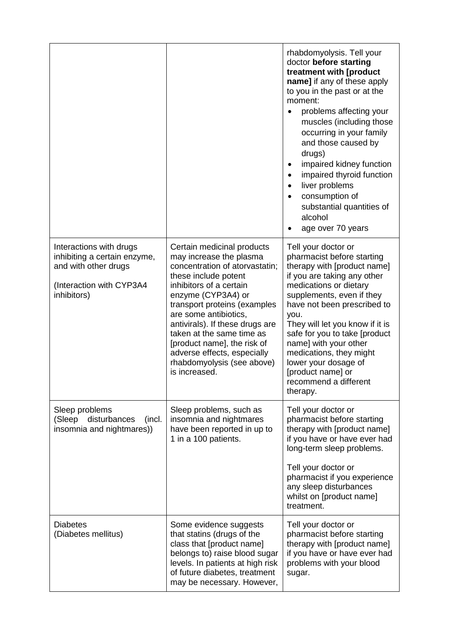|                                                                                                                            |                                                                                                                                                                                                                                                                                                                                                                                                        | rhabdomyolysis. Tell your<br>doctor before starting<br>treatment with [product<br>name] if any of these apply<br>to you in the past or at the<br>moment:<br>problems affecting your<br>muscles (including those<br>occurring in your family<br>and those caused by<br>drugs)<br>impaired kidney function<br>٠<br>impaired thyroid function<br>liver problems<br>consumption of<br>substantial quantities of<br>alcohol<br>age over 70 years |
|----------------------------------------------------------------------------------------------------------------------------|--------------------------------------------------------------------------------------------------------------------------------------------------------------------------------------------------------------------------------------------------------------------------------------------------------------------------------------------------------------------------------------------------------|---------------------------------------------------------------------------------------------------------------------------------------------------------------------------------------------------------------------------------------------------------------------------------------------------------------------------------------------------------------------------------------------------------------------------------------------|
| Interactions with drugs<br>inhibiting a certain enzyme,<br>and with other drugs<br>(Interaction with CYP3A4<br>inhibitors) | Certain medicinal products<br>may increase the plasma<br>concentration of atorvastatin;<br>these include potent<br>inhibitors of a certain<br>enzyme (CYP3A4) or<br>transport proteins (examples<br>are some antibiotics,<br>antivirals). If these drugs are<br>taken at the same time as<br>[product name], the risk of<br>adverse effects, especially<br>rhabdomyolysis (see above)<br>is increased. | Tell your doctor or<br>pharmacist before starting<br>therapy with [product name]<br>if you are taking any other<br>medications or dietary<br>supplements, even if they<br>have not been prescribed to<br>you.<br>They will let you know if it is<br>safe for you to take [product<br>name] with your other<br>medications, they might<br>lower your dosage of<br>[product name] or<br>recommend a different<br>therapy.                     |
| Sleep problems<br>(Sleep disturbances<br>(incl.<br>insomnia and nightmares))                                               | Sleep problems, such as<br>insomnia and nightmares<br>have been reported in up to<br>1 in a 100 patients.                                                                                                                                                                                                                                                                                              | Tell your doctor or<br>pharmacist before starting<br>therapy with [product name]<br>if you have or have ever had<br>long-term sleep problems.<br>Tell your doctor or<br>pharmacist if you experience<br>any sleep disturbances<br>whilst on [product name]<br>treatment.                                                                                                                                                                    |
| <b>Diabetes</b><br>(Diabetes mellitus)                                                                                     | Some evidence suggests<br>that statins (drugs of the<br>class that [product name]<br>belongs to) raise blood sugar<br>levels. In patients at high risk<br>of future diabetes, treatment<br>may be necessary. However,                                                                                                                                                                                  | Tell your doctor or<br>pharmacist before starting<br>therapy with [product name]<br>if you have or have ever had<br>problems with your blood<br>sugar.                                                                                                                                                                                                                                                                                      |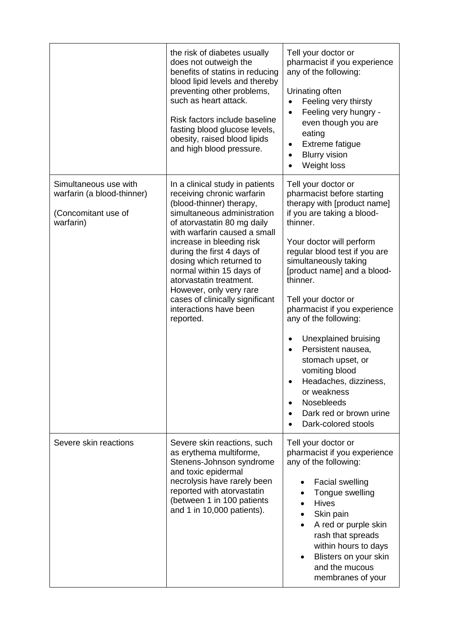|                                                                                         | the risk of diabetes usually<br>does not outweigh the<br>benefits of statins in reducing<br>blood lipid levels and thereby<br>preventing other problems,<br>such as heart attack.<br>Risk factors include baseline<br>fasting blood glucose levels,<br>obesity, raised blood lipids<br>and high blood pressure.                                                                                                                            | Tell your doctor or<br>pharmacist if you experience<br>any of the following:<br>Urinating often<br>Feeling very thirsty<br>Feeling very hungry -<br>$\bullet$<br>even though you are<br>eating<br>Extreme fatigue<br>٠<br><b>Blurry vision</b><br>$\bullet$<br>Weight loss                                                                                                                                                                                                                                                                           |
|-----------------------------------------------------------------------------------------|--------------------------------------------------------------------------------------------------------------------------------------------------------------------------------------------------------------------------------------------------------------------------------------------------------------------------------------------------------------------------------------------------------------------------------------------|------------------------------------------------------------------------------------------------------------------------------------------------------------------------------------------------------------------------------------------------------------------------------------------------------------------------------------------------------------------------------------------------------------------------------------------------------------------------------------------------------------------------------------------------------|
| Simultaneous use with<br>warfarin (a blood-thinner)<br>(Concomitant use of<br>warfarin) | In a clinical study in patients<br>receiving chronic warfarin<br>(blood-thinner) therapy,<br>simultaneous administration<br>of atorvastatin 80 mg daily<br>with warfarin caused a small<br>increase in bleeding risk<br>during the first 4 days of<br>dosing which returned to<br>normal within 15 days of<br>atorvastatin treatment.<br>However, only very rare<br>cases of clinically significant<br>interactions have been<br>reported. | Tell your doctor or<br>pharmacist before starting<br>therapy with [product name]<br>if you are taking a blood-<br>thinner.<br>Your doctor will perform<br>regular blood test if you are<br>simultaneously taking<br>[product name] and a blood-<br>thinner.<br>Tell your doctor or<br>pharmacist if you experience<br>any of the following:<br>Unexplained bruising<br>Persistent nausea,<br>stomach upset, or<br>vomiting blood<br>Headaches, dizziness,<br>or weakness<br><b>Nosebleeds</b><br>Dark red or brown urine<br>٠<br>Dark-colored stools |
| Severe skin reactions                                                                   | Severe skin reactions, such<br>as erythema multiforme,<br>Stenens-Johnson syndrome<br>and toxic epidermal<br>necrolysis have rarely been<br>reported with atorvastatin<br>(between 1 in 100 patients<br>and 1 in 10,000 patients).                                                                                                                                                                                                         | Tell your doctor or<br>pharmacist if you experience<br>any of the following:<br><b>Facial swelling</b><br>Tongue swelling<br><b>Hives</b><br>Skin pain<br>A red or purple skin<br>rash that spreads<br>within hours to days<br>Blisters on your skin<br>and the mucous<br>membranes of your                                                                                                                                                                                                                                                          |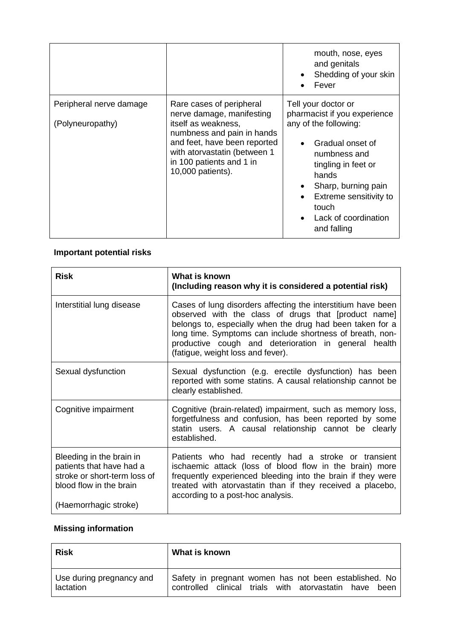|                                             |                                                                                                                                                                                                                             | mouth, nose, eyes<br>and genitals<br>Shedding of your skin<br>Fever                                                                                                                                                                               |
|---------------------------------------------|-----------------------------------------------------------------------------------------------------------------------------------------------------------------------------------------------------------------------------|---------------------------------------------------------------------------------------------------------------------------------------------------------------------------------------------------------------------------------------------------|
| Peripheral nerve damage<br>(Polyneuropathy) | Rare cases of peripheral<br>nerve damage, manifesting<br>itself as weakness,<br>numbness and pain in hands<br>and feet, have been reported<br>with atorvastatin (between 1<br>in 100 patients and 1 in<br>10,000 patients). | Tell your doctor or<br>pharmacist if you experience<br>any of the following:<br>Gradual onset of<br>numbness and<br>tingling in feet or<br>hands<br>Sharp, burning pain<br>Extreme sensitivity to<br>touch<br>Lack of coordination<br>and falling |

# **Important potential risks**

| <b>Risk</b>                                                                                                                              | What is known<br>(Including reason why it is considered a potential risk)                                                                                                                                                                                                                                                                   |
|------------------------------------------------------------------------------------------------------------------------------------------|---------------------------------------------------------------------------------------------------------------------------------------------------------------------------------------------------------------------------------------------------------------------------------------------------------------------------------------------|
| Interstitial lung disease                                                                                                                | Cases of lung disorders affecting the interstitium have been<br>observed with the class of drugs that [product name]<br>belongs to, especially when the drug had been taken for a<br>long time. Symptoms can include shortness of breath, non-<br>productive cough and deterioration in general health<br>(fatigue, weight loss and fever). |
| Sexual dysfunction                                                                                                                       | Sexual dysfunction (e.g. erectile dysfunction) has been<br>reported with some statins. A causal relationship cannot be<br>clearly established.                                                                                                                                                                                              |
| Cognitive impairment                                                                                                                     | Cognitive (brain-related) impairment, such as memory loss,<br>forgetfulness and confusion, has been reported by some<br>statin users. A causal relationship cannot be clearly<br>established.                                                                                                                                               |
| Bleeding in the brain in<br>patients that have had a<br>stroke or short-term loss of<br>blood flow in the brain<br>(Haemorrhagic stroke) | Patients who had recently had a stroke or transient<br>ischaemic attack (loss of blood flow in the brain) more<br>frequently experienced bleeding into the brain if they were<br>treated with atorvastatin than if they received a placebo,<br>according to a post-hoc analysis.                                                            |

# **Missing information**

| <b>Risk</b>              | What is known                                          |
|--------------------------|--------------------------------------------------------|
| Use during pregnancy and | Safety in pregnant women has not been established. No  |
| lactation                | controlled clinical trials with atorvastatin have been |